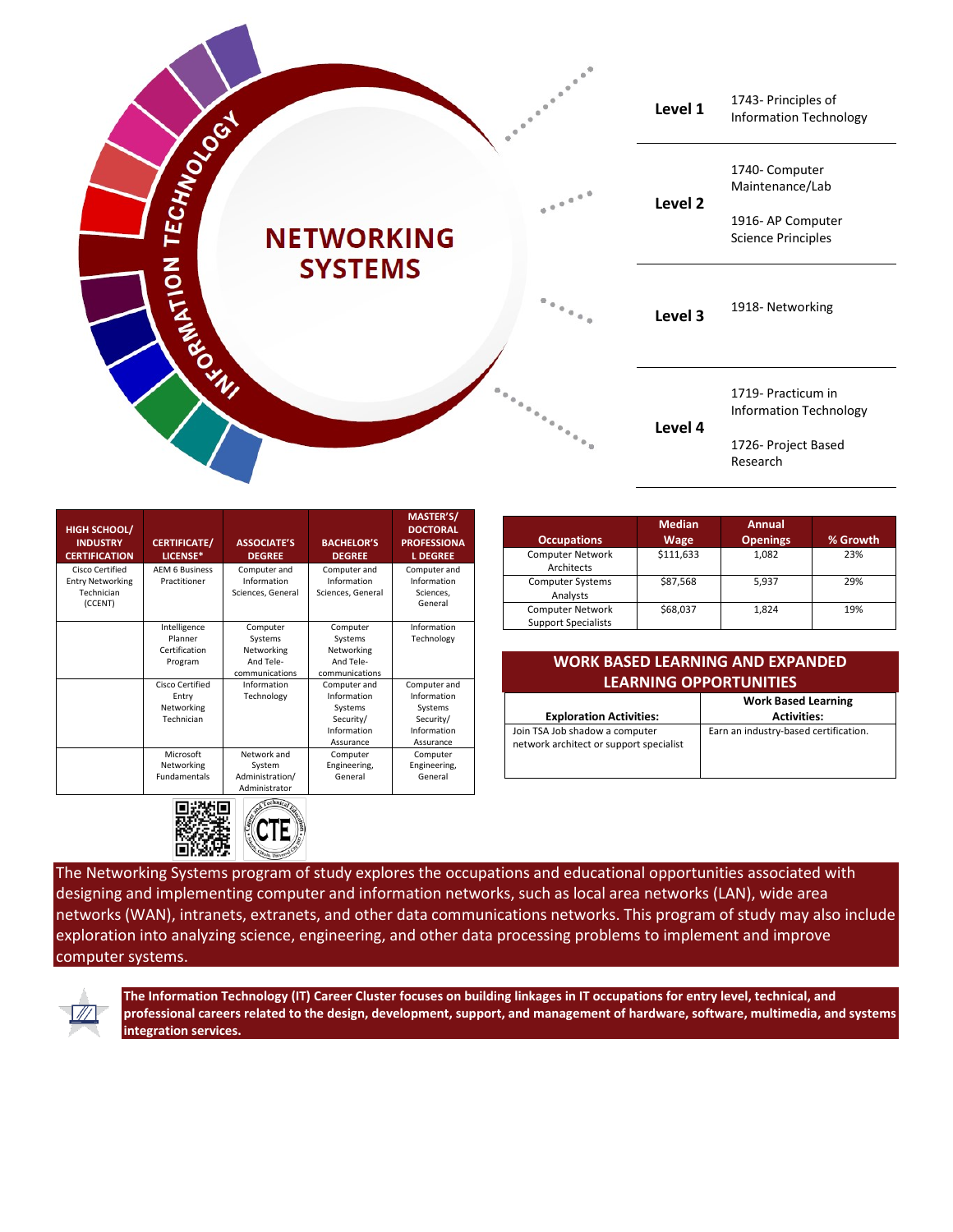

| <b>HIGH SCHOOL/</b><br><b>INDUSTRY</b><br><b>CERTIFICATION</b> | <b>CERTIFICATE/</b><br>LICENSE*       | <b>ASSOCIATE'S</b><br><b>DEGREE</b> | <b>BACHELOR'S</b><br><b>DEGREE</b> | MASTER'S/<br><b>DOCTORAL</b><br><b>PROFESSIONA</b><br><b>L DEGREE</b> |
|----------------------------------------------------------------|---------------------------------------|-------------------------------------|------------------------------------|-----------------------------------------------------------------------|
| Cisco Certified<br><b>Entry Networking</b>                     | <b>AEM 6 Business</b><br>Practitioner | Computer and<br>Information         | Computer and<br>Information        | Computer and<br>Information                                           |
| Technician<br>(CCENT)                                          |                                       | Sciences, General                   | Sciences, General                  | Sciences,<br>General                                                  |
|                                                                | Intelligence                          | Computer                            | Computer                           | Information                                                           |
|                                                                | Planner                               | Systems                             | Systems                            | Technology                                                            |
|                                                                | Certification                         | Networking                          | Networking                         |                                                                       |
|                                                                | Program                               | And Tele-                           | And Tele-                          |                                                                       |
|                                                                |                                       | communications                      | communications                     |                                                                       |
|                                                                | Cisco Certified                       | Information                         | Computer and                       | Computer and                                                          |
|                                                                | Entry                                 | Technology                          | Information                        | Information                                                           |
|                                                                | Networking                            |                                     | Systems                            | Systems                                                               |
|                                                                | Technician                            |                                     | Security/                          | Security/                                                             |
|                                                                |                                       |                                     | Information                        | Information                                                           |
|                                                                |                                       |                                     | Assurance                          | Assurance                                                             |
|                                                                | Microsoft                             | Network and                         | Computer                           | Computer                                                              |
|                                                                | Networking                            | System                              | Engineering,                       | Engineering,                                                          |
|                                                                | <b>Fundamentals</b>                   | Administration/                     | General                            | General                                                               |
|                                                                |                                       | Administrator                       |                                    |                                                                       |



| <b>Occupations</b>                                    | <b>Median</b><br>Wage | Annual<br><b>Openings</b> | % Growth |
|-------------------------------------------------------|-----------------------|---------------------------|----------|
| <b>Computer Network</b><br>Architects                 | \$111,633             | 1,082                     | 23%      |
| <b>Computer Systems</b><br>Analysts                   | \$87,568              | 5,937                     | 29%      |
| <b>Computer Network</b><br><b>Support Specialists</b> | \$68,037              | 1,824                     | 19%      |

| WORK BASED LEARNING AND EXPANDED |          |  |  |  |
|----------------------------------|----------|--|--|--|
| <b>LEARNING OPPORTUNITIES</b>    |          |  |  |  |
|                                  | $\cdots$ |  |  |  |

|                                                                           | <b>Work Based Learning</b>            |  |
|---------------------------------------------------------------------------|---------------------------------------|--|
| <b>Exploration Activities:</b>                                            | <b>Activities:</b>                    |  |
| Join TSA Job shadow a computer<br>network architect or support specialist | Earn an industry-based certification. |  |

The Networking Systems program of study explores the occupations and educational opportunities associated with designing and implementing computer and information networks, such as local area networks (LAN), wide area networks (WAN), intranets, extranets, and other data communications networks. This program of study may also include exploration into analyzing science, engineering, and other data processing problems to implement and improve computer systems.



**The Information Technology (IT) Career Cluster focuses on building linkages in IT occupations for entry level, technical, and professional careers related to the design, development, support, and management of hardware, software, multimedia, and systems integration services.**